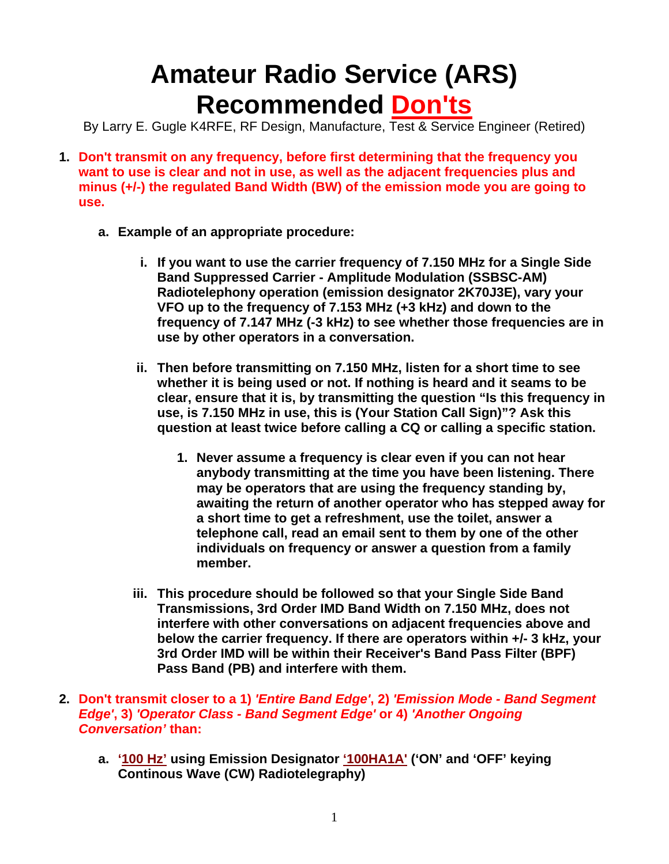## **Amateur Radio Service (ARS) Recommended Don'ts**

By Larry E. Gugle K4RFE, RF Design, Manufacture, Test & Service Engineer (Retired)

- **1. Don't transmit on any frequency, before first determining that the frequency you want to use is clear and not in use, as well as the adjacent frequencies plus and minus (+/-) the regulated Band Width (BW) of the emission mode you are going to use.**
	- **a. Example of an appropriate procedure:** 
		- **i. If you want to use the carrier frequency of 7.150 MHz for a Single Side Band Suppressed Carrier - Amplitude Modulation (SSBSC-AM) Radiotelephony operation (emission designator 2K70J3E), vary your VFO up to the frequency of 7.153 MHz (+3 kHz) and down to the frequency of 7.147 MHz (-3 kHz) to see whether those frequencies are in use by other operators in a conversation.**
		- **ii. Then before transmitting on 7.150 MHz, listen for a short time to see whether it is being used or not. If nothing is heard and it seams to be clear, ensure that it is, by transmitting the question "Is this frequency in use, is 7.150 MHz in use, this is (Your Station Call Sign)"? Ask this question at least twice before calling a CQ or calling a specific station.** 
			- **1. Never assume a frequency is clear even if you can not hear anybody transmitting at the time you have been listening. There may be operators that are using the frequency standing by, awaiting the return of another operator who has stepped away for a short time to get a refreshment, use the toilet, answer a telephone call, read an email sent to them by one of the other individuals on frequency or answer a question from a family member.**
		- **iii. This procedure should be followed so that your Single Side Band Transmissions, 3rd Order IMD Band Width on 7.150 MHz, does not interfere with other conversations on adjacent frequencies above and below the carrier frequency. If there are operators within +/- 3 kHz, your 3rd Order IMD will be within their Receiver's Band Pass Filter (BPF) Pass Band (PB) and interfere with them.**
- **2. Don't transmit closer to a 1)** *'Entire Band Edge'***, 2)** *'Emission Mode Band Segment Edge'***, 3)** *'Operator Class - Band Segment Edge'* **or 4)** *'Another Ongoing Conversation'* **than:**
	- **a. '100 Hz' using Emission Designator '100HA1A' ('ON' and 'OFF' keying Continous Wave (CW) Radiotelegraphy)**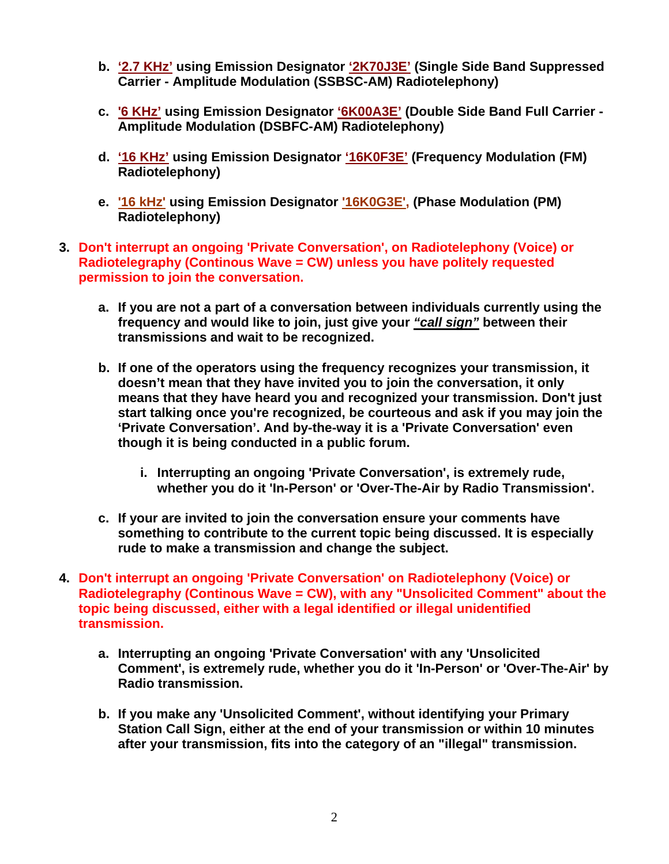- **b. '2.7 KHz' using Emission Designator '2K70J3E' (Single Side Band Suppressed Carrier - Amplitude Modulation (SSBSC-AM) Radiotelephony)**
- **c. '6 KHz' using Emission Designator '6K00A3E' (Double Side Band Full Carrier Amplitude Modulation (DSBFC-AM) Radiotelephony)**
- **d. '16 KHz' using Emission Designator '16K0F3E' (Frequency Modulation (FM) Radiotelephony)**
- **e. '16 kHz' using Emission Designator '16K0G3E', (Phase Modulation (PM) Radiotelephony)**
- **3. Don't interrupt an ongoing 'Private Conversation', on Radiotelephony (Voice) or Radiotelegraphy (Continous Wave = CW) unless you have politely requested permission to join the conversation.**
	- **a. If you are not a part of a conversation between individuals currently using the frequency and would like to join, just give your** *"call sign"* **between their transmissions and wait to be recognized.**
	- **b. If one of the operators using the frequency recognizes your transmission, it doesn't mean that they have invited you to join the conversation, it only means that they have heard you and recognized your transmission. Don't just start talking once you're recognized, be courteous and ask if you may join the 'Private Conversation'. And by-the-way it is a 'Private Conversation' even though it is being conducted in a public forum.** 
		- **i. Interrupting an ongoing 'Private Conversation', is extremely rude, whether you do it 'In-Person' or 'Over-The-Air by Radio Transmission'.**
	- **c. If your are invited to join the conversation ensure your comments have something to contribute to the current topic being discussed. It is especially rude to make a transmission and change the subject.**
- **4. Don't interrupt an ongoing 'Private Conversation' on Radiotelephony (Voice) or Radiotelegraphy (Continous Wave = CW), with any "Unsolicited Comment" about the topic being discussed, either with a legal identified or illegal unidentified transmission.** 
	- **a. Interrupting an ongoing 'Private Conversation' with any 'Unsolicited Comment', is extremely rude, whether you do it 'In-Person' or 'Over-The-Air' by Radio transmission.**
	- **b. If you make any 'Unsolicited Comment', without identifying your Primary Station Call Sign, either at the end of your transmission or within 10 minutes after your transmission, fits into the category of an "illegal" transmission.**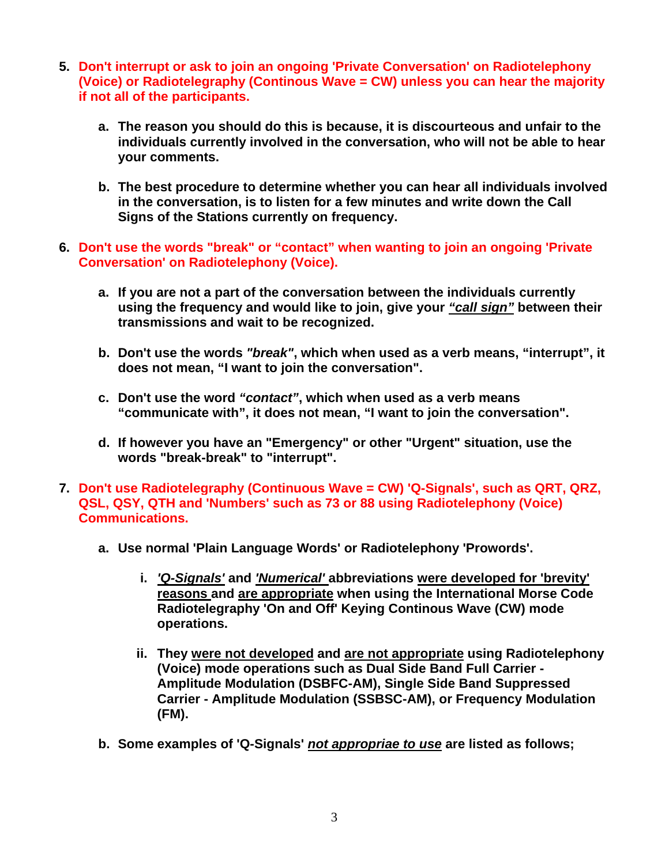- **5. Don't interrupt or ask to join an ongoing 'Private Conversation' on Radiotelephony (Voice) or Radiotelegraphy (Continous Wave = CW) unless you can hear the majority if not all of the participants.**
	- **a. The reason you should do this is because, it is discourteous and unfair to the individuals currently involved in the conversation, who will not be able to hear your comments.**
	- **b. The best procedure to determine whether you can hear all individuals involved in the conversation, is to listen for a few minutes and write down the Call Signs of the Stations currently on frequency.**
- **6. Don't use the words "break" or "contact" when wanting to join an ongoing 'Private Conversation' on Radiotelephony (Voice).**
	- **a. If you are not a part of the conversation between the individuals currently using the frequency and would like to join, give your** *"call sign"* **between their transmissions and wait to be recognized.**
	- **b. Don't use the words** *"break"***, which when used as a verb means, "interrupt", it does not mean, "I want to join the conversation".**
	- **c. Don't use the word** *"contact"***, which when used as a verb means "communicate with", it does not mean, "I want to join the conversation".**
	- **d. If however you have an "Emergency" or other "Urgent" situation, use the words "break-break" to "interrupt".**
- **7. Don't use Radiotelegraphy (Continuous Wave = CW) 'Q-Signals', such as QRT, QRZ, QSL, QSY, QTH and 'Numbers' such as 73 or 88 using Radiotelephony (Voice) Communications.**
	- **a. Use normal 'Plain Language Words' or Radiotelephony 'Prowords'.** 
		- **i.** *'Q-Signals'* **and** *'Numerical'* **abbreviations were developed for 'brevity' reasons and are appropriate when using the International Morse Code Radiotelegraphy 'On and Off' Keying Continous Wave (CW) mode operations.**
		- **ii. They were not developed and are not appropriate using Radiotelephony (Voice) mode operations such as Dual Side Band Full Carrier - Amplitude Modulation (DSBFC-AM), Single Side Band Suppressed Carrier - Amplitude Modulation (SSBSC-AM), or Frequency Modulation (FM).**
	- **b. Some examples of 'Q-Signals'** *not appropriae to use* **are listed as follows;**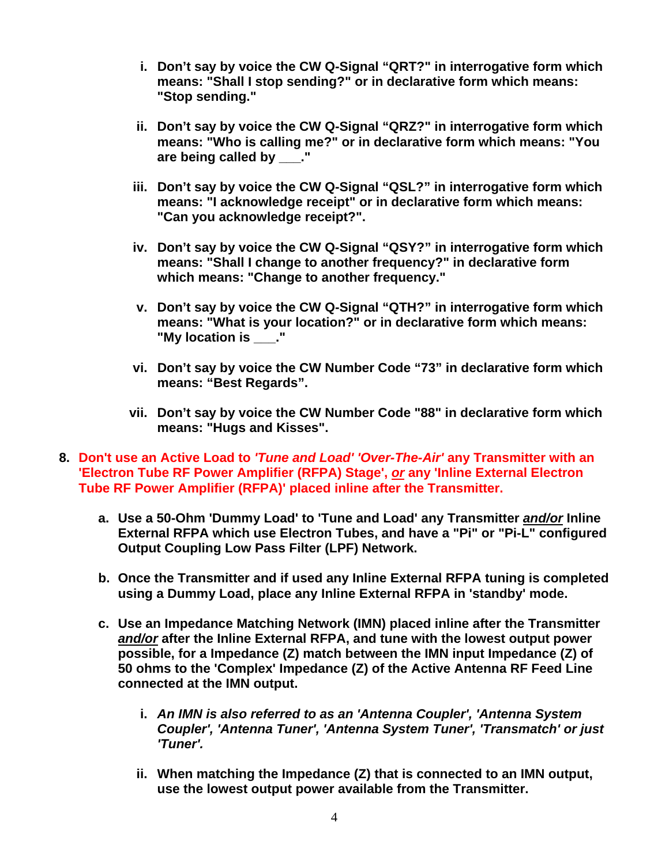- **i. Don't say by voice the CW Q-Signal "QRT?" in interrogative form which means: "Shall I stop sending?" or in declarative form which means: "Stop sending."**
- **ii. Don't say by voice the CW Q-Signal "QRZ?" in interrogative form which means: "Who is calling me?" or in declarative form which means: "You are being called by \_\_\_."**
- **iii. Don't say by voice the CW Q-Signal "QSL?" in interrogative form which means: "I acknowledge receipt" or in declarative form which means: "Can you acknowledge receipt?".**
- **iv. Don't say by voice the CW Q-Signal "QSY?" in interrogative form which means: "Shall I change to another frequency?" in declarative form which means: "Change to another frequency."**
- **v. Don't say by voice the CW Q-Signal "QTH?" in interrogative form which means: "What is your location?" or in declarative form which means: "My location is \_\_\_."**
- **vi. Don't say by voice the CW Number Code "73" in declarative form which means: "Best Regards".**
- **vii. Don't say by voice the CW Number Code "88" in declarative form which means: "Hugs and Kisses".**
- **8. Don't use an Active Load to** *'Tune and Load' 'Over-The-Air'* **any Transmitter with an 'Electron Tube RF Power Amplifier (RFPA) Stage',** *or* **any 'Inline External Electron Tube RF Power Amplifier (RFPA)' placed inline after the Transmitter.**
	- **a. Use a 50-Ohm 'Dummy Load' to 'Tune and Load' any Transmitter** *and/or* **Inline External RFPA which use Electron Tubes, and have a "Pi" or "Pi-L" configured Output Coupling Low Pass Filter (LPF) Network.**
	- **b. Once the Transmitter and if used any Inline External RFPA tuning is completed using a Dummy Load, place any Inline External RFPA in 'standby' mode.**
	- **c. Use an Impedance Matching Network (IMN) placed inline after the Transmitter**  *and/or* **after the Inline External RFPA, and tune with the lowest output power possible, for a Impedance (Z) match between the IMN input Impedance (Z) of 50 ohms to the 'Complex' Impedance (Z) of the Active Antenna RF Feed Line connected at the IMN output.** 
		- **i.** *An IMN is also referred to as an 'Antenna Coupler', 'Antenna System Coupler', 'Antenna Tuner', 'Antenna System Tuner', 'Transmatch' or just 'Tuner'.*
		- **ii. When matching the Impedance (Z) that is connected to an IMN output, use the lowest output power available from the Transmitter.**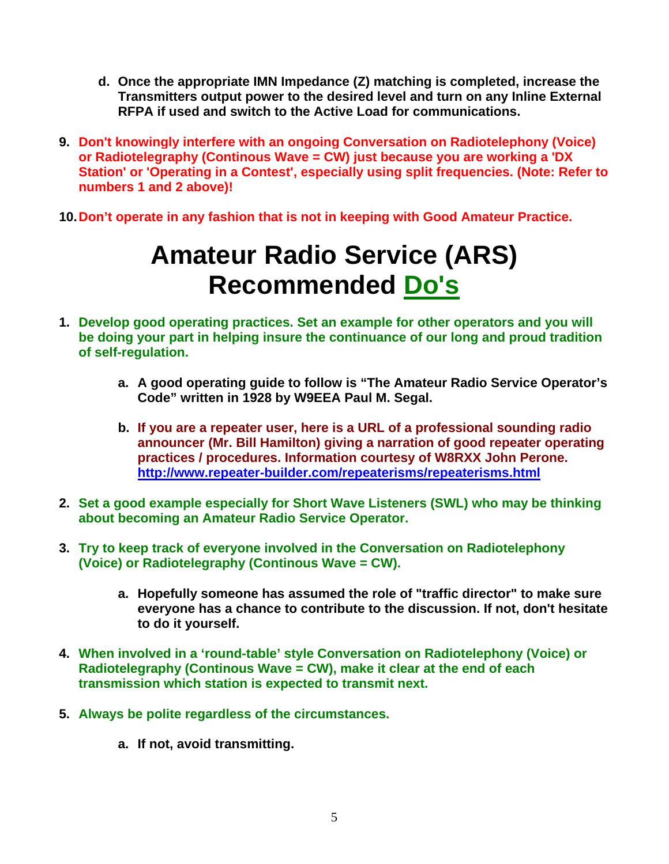- **d. Once the appropriate IMN Impedance (Z) matching is completed, increase the Transmitters output power to the desired level and turn on any Inline External RFPA if used and switch to the Active Load for communications.**
- **9. Don't knowingly interfere with an ongoing Conversation on Radiotelephony (Voice) or Radiotelegraphy (Continous Wave = CW) just because you are working a 'DX Station' or 'Operating in a Contest', especially using split frequencies. (Note: Refer to numbers 1 and 2 above)!**
- **10. Don't operate in any fashion that is not in keeping with Good Amateur Practice.**

## **Amateur Radio Service (ARS) Recommended Do's**

- **1. Develop good operating practices. Set an example for other operators and you will be doing your part in helping insure the continuance of our long and proud tradition of self-regulation.** 
	- **a. A good operating guide to follow is "The Amateur Radio Service Operator's Code" written in 1928 by W9EEA Paul M. Segal.**
	- **b. If you are a repeater user, here is a URL of a professional sounding radio announcer (Mr. Bill Hamilton) giving a narration of good repeater operating practices / procedures. Information courtesy of W8RXX John Perone. http://www.repeater-builder.com/repeaterisms/repeaterisms.html**
- **2. Set a good example especially for Short Wave Listeners (SWL) who may be thinking about becoming an Amateur Radio Service Operator.**
- **3. Try to keep track of everyone involved in the Conversation on Radiotelephony (Voice) or Radiotelegraphy (Continous Wave = CW).** 
	- **a. Hopefully someone has assumed the role of "traffic director" to make sure everyone has a chance to contribute to the discussion. If not, don't hesitate to do it yourself.**
- **4. When involved in a 'round-table' style Conversation on Radiotelephony (Voice) or Radiotelegraphy (Continous Wave = CW), make it clear at the end of each transmission which station is expected to transmit next.**
- **5. Always be polite regardless of the circumstances.** 
	- **a. If not, avoid transmitting.**